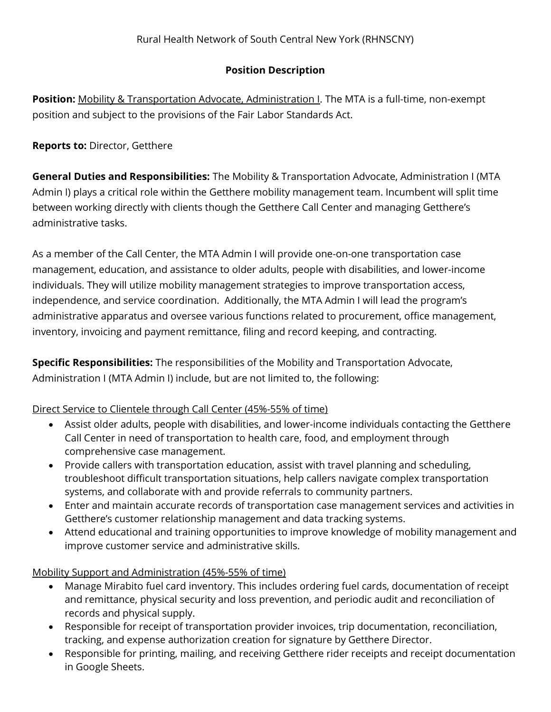## Position Description

Position: Mobility & Transportation Advocate, Administration I. The MTA is a full-time, non-exempt position and subject to the provisions of the Fair Labor Standards Act.

## Reports to: Director, Getthere

General Duties and Responsibilities: The Mobility & Transportation Advocate, Administration I (MTA Admin I) plays a critical role within the Getthere mobility management team. Incumbent will split time between working directly with clients though the Getthere Call Center and managing Getthere's administrative tasks.

As a member of the Call Center, the MTA Admin I will provide one-on-one transportation case management, education, and assistance to older adults, people with disabilities, and lower-income individuals. They will utilize mobility management strategies to improve transportation access, independence, and service coordination. Additionally, the MTA Admin I will lead the program's administrative apparatus and oversee various functions related to procurement, office management, inventory, invoicing and payment remittance, filing and record keeping, and contracting.

Specific Responsibilities: The responsibilities of the Mobility and Transportation Advocate, Administration I (MTA Admin I) include, but are not limited to, the following:

## Direct Service to Clientele through Call Center (45%-55% of time)

- Assist older adults, people with disabilities, and lower-income individuals contacting the Getthere Call Center in need of transportation to health care, food, and employment through comprehensive case management.
- Provide callers with transportation education, assist with travel planning and scheduling, troubleshoot difficult transportation situations, help callers navigate complex transportation systems, and collaborate with and provide referrals to community partners.
- Enter and maintain accurate records of transportation case management services and activities in Getthere's customer relationship management and data tracking systems.
- Attend educational and training opportunities to improve knowledge of mobility management and improve customer service and administrative skills.

Mobility Support and Administration (45%-55% of time)

- Manage Mirabito fuel card inventory. This includes ordering fuel cards, documentation of receipt and remittance, physical security and loss prevention, and periodic audit and reconciliation of records and physical supply.
- Responsible for receipt of transportation provider invoices, trip documentation, reconciliation, tracking, and expense authorization creation for signature by Getthere Director.
- Responsible for printing, mailing, and receiving Getthere rider receipts and receipt documentation in Google Sheets.